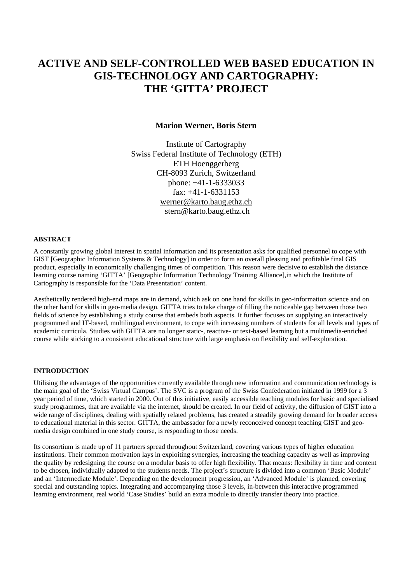# **ACTIVE AND SELF-CONTROLLED WEB BASED EDUCATION IN GIS-TECHNOLOGY AND CARTOGRAPHY: THE 'GITTA' PROJECT**

## **Marion Werner, Boris Stern**

Institute of Cartography Swiss Federal Institute of Technology (ETH) ETH Hoenggerberg CH-8093 Zurich, Switzerland phone: +41-1-6333033 fax: +41-1-6331153 werner@karto.baug.ethz.ch stern@karto.baug.ethz.ch

#### **ABSTRACT**

A constantly growing global interest in spatial information and its presentation asks for qualified personnel to cope with GIST [Geographic Information Systems & Technology] in order to form an overall pleasing and profitable final GIS product, especially in economically challenging times of competition. This reason were decisive to establish the distance learning course naming 'GITTA' [Geographic Information Technology Training Alliance],in which the Institute of Cartography is responsible for the 'Data Presentation' content.

Aesthetically rendered high-end maps are in demand, which ask on one hand for skills in geo-information science and on the other hand for skills in geo-media design. GITTA tries to take charge of filling the noticeable gap between those two fields of science by establishing a study course that embeds both aspects. It further focuses on supplying an interactively programmed and IT-based, multilingual environment, to cope with increasing numbers of students for all levels and types of academic curricula. Studies with GITTA are no longer static-, reactive- or text-based learning but a multimedia-enriched course while sticking to a consistent educational structure with large emphasis on flexibility and self-exploration.

## **INTRODUCTION**

Utilising the advantages of the opportunities currently available through new information and communication technology is the main goal of the 'Swiss Virtual Campus'. The SVC is a program of the Swiss Confederation initiated in 1999 for a 3 year period of time, which started in 2000. Out of this initiative, easily accessible teaching modules for basic and specialised study programmes, that are available via the internet, should be created. In our field of activity, the diffusion of GIST into a wide range of disciplines, dealing with spatially related problems, has created a steadily growing demand for broader access to educational material in this sector. GITTA, the ambassador for a newly reconceived concept teaching GIST and geomedia design combined in one study course, is responding to those needs.

Its consortium is made up of 11 partners spread throughout Switzerland, covering various types of higher education institutions. Their common motivation lays in exploiting synergies, increasing the teaching capacity as well as improving the quality by redesigning the course on a modular basis to offer high flexibility. That means: flexibility in time and content to be chosen, individually adapted to the students needs. The project's structure is divided into a common 'Basic Module' and an 'Intermediate Module'. Depending on the development progression, an 'Advanced Module' is planned, covering special and outstanding topics. Integrating and accompanying those 3 levels, in-between this interactive programmed learning environment, real world 'Case Studies' build an extra module to directly transfer theory into practice.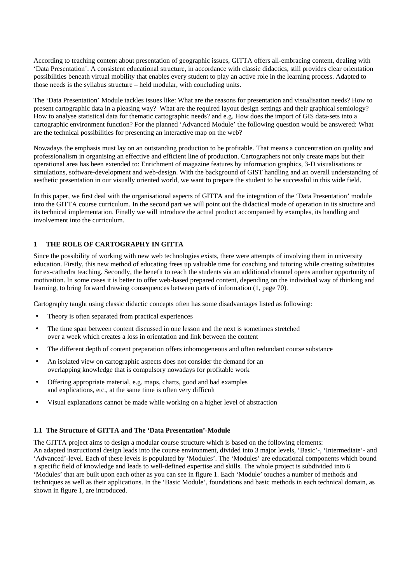According to teaching content about presentation of geographic issues, GITTA offers all-embracing content, dealing with 'Data Presentation'. A consistent educational structure, in accordance with classic didactics, still provides clear orientation possibilities beneath virtual mobility that enables every student to play an active role in the learning process. Adapted to those needs is the syllabus structure – held modular, with concluding units.

The 'Data Presentation' Module tackles issues like: What are the reasons for presentation and visualisation needs? How to present cartographic data in a pleasing way? What are the required layout design settings and their graphical semiology? How to analyse statistical data for thematic cartographic needs? and e.g. How does the import of GIS data-sets into a cartographic environment function? For the planned 'Advanced Module' the following question would be answered: What are the technical possibilities for presenting an interactive map on the web?

Nowadays the emphasis must lay on an outstanding production to be profitable. That means a concentration on quality and professionalism in organising an effective and efficient line of production. Cartographers not only create maps but their operational area has been extended to: Enrichment of magazine features by information graphics, 3-D visualisations or simulations, software-development and web-design. With the background of GIST handling and an overall understanding of aesthetic presentation in our visually oriented world, we want to prepare the student to be successful in this wide field.

In this paper, we first deal with the organisational aspects of GITTA and the integration of the 'Data Presentation' module into the GITTA course curriculum. In the second part we will point out the didactical mode of operation in its structure and its technical implementation. Finally we will introduce the actual product accompanied by examples, its handling and involvement into the curriculum.

# **1 THE ROLE OF CARTOGRAPHY IN GITTA**

Since the possibility of working with new web technologies exists, there were attempts of involving them in university education. Firstly, this new method of educating frees up valuable time for coaching and tutoring while creating substitutes for ex-cathedra teaching. Secondly, the benefit to reach the students via an additional channel opens another opportunity of motivation. In some cases it is better to offer web-based prepared content, depending on the individual way of thinking and learning, to bring forward drawing consequences between parts of information (1, page 70).

Cartography taught using classic didactic concepts often has some disadvantages listed as following:

- Theory is often separated from practical experiences
- The time span between content discussed in one lesson and the next is sometimes stretched over a week which creates a loss in orientation and link between the content
- The different depth of content preparation offers inhomogeneous and often redundant course substance
- An isolated view on cartographic aspects does not consider the demand for an overlapping knowledge that is compulsory nowadays for profitable work
- Offering appropriate material, e.g. maps, charts, good and bad examples and explications, etc., at the same time is often very difficult
- Visual explanations cannot be made while working on a higher level of abstraction

## **1.1 The Structure of GITTA and The 'Data Presentation'-Module**

The GITTA project aims to design a modular course structure which is based on the following elements: An adapted instructional design leads into the course environment, divided into 3 major levels, 'Basic'-, 'Intermediate'- and 'Advanced'-level. Each of these levels is populated by 'Modules'. The 'Modules' are educational components which bound a specific field of knowledge and leads to well-defined expertise and skills. The whole project is subdivided into 6 'Modules' that are built upon each other as you can see in figure 1. Each 'Module' touches a number of methods and techniques as well as their applications. In the 'Basic Module', foundations and basic methods in each technical domain, as shown in figure 1, are introduced.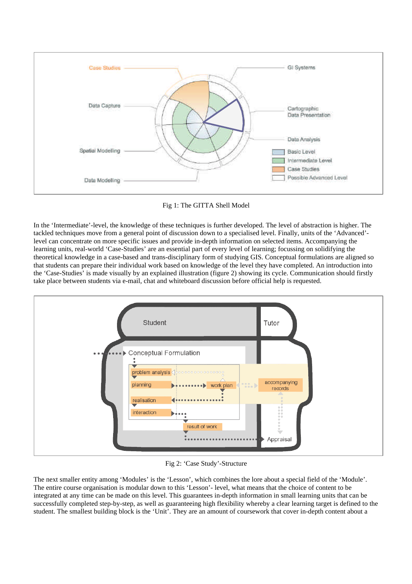



In the 'Intermediate'-level, the knowledge of these techniques is further developed. The level of abstraction is higher. The tackled techniques move from a general point of discussion down to a specialised level. Finally, units of the 'Advanced' level can concentrate on more specific issues and provide in-depth information on selected items. Accompanying the learning units, real-world 'Case-Studies' are an essential part of every level of learning; focussing on solidifying the theoretical knowledge in a case-based and trans-disciplinary form of studying GIS. Conceptual formulations are aligned so that students can prepare their individual work based on knowledge of the level they have completed. An introduction into the 'Case-Studies' is made visually by an explained illustration (figure 2) showing its cycle. Communication should firstly take place between students via e-mail, chat and whiteboard discussion before official help is requested.



Fig 2: 'Case Study'-Structure

The next smaller entity among 'Modules' is the 'Lesson', which combines the lore about a special field of the 'Module'. The entire course organisation is modular down to this 'Lesson'- level, what means that the choice of content to be integrated at any time can be made on this level. This guarantees in-depth information in small learning units that can be successfully completed step-by-step, as well as guaranteeing high flexibility whereby a clear learning target is defined to the student. The smallest building block is the 'Unit'. They are an amount of coursework that cover in-depth content about a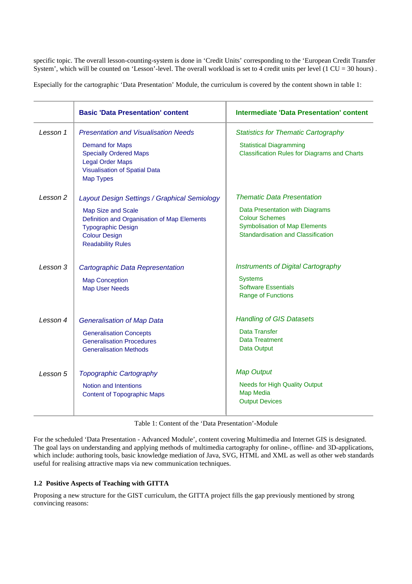specific topic. The overall lesson-counting-system is done in 'Credit Units' corresponding to the 'European Credit Transfer System', which will be counted on 'Lesson'-level. The overall workload is set to 4 credit units per level (1 CU = 30 hours).

Especially for the cartographic 'Data Presentation' Module, the curriculum is covered by the content shown in table 1:

|          | <b>Basic 'Data Presentation' content</b>                                                                                                                                                           | <b>Intermediate 'Data Presentation' content</b>                                                                                                                             |
|----------|----------------------------------------------------------------------------------------------------------------------------------------------------------------------------------------------------|-----------------------------------------------------------------------------------------------------------------------------------------------------------------------------|
| Lesson 1 | <b>Presentation and Visualisation Needs</b><br><b>Demand for Maps</b><br><b>Specially Ordered Maps</b><br><b>Legal Order Maps</b><br><b>Visualisation of Spatial Data</b><br><b>Map Types</b>      | <b>Statistics for Thematic Cartography</b><br><b>Statistical Diagramming</b><br><b>Classification Rules for Diagrams and Charts</b>                                         |
| Lesson 2 | Layout Design Settings / Graphical Semiology<br>Map Size and Scale<br>Definition and Organisation of Map Elements<br><b>Typographic Design</b><br><b>Colour Design</b><br><b>Readability Rules</b> | <b>Thematic Data Presentation</b><br>Data Presentation with Diagrams<br><b>Colour Schemes</b><br><b>Symbolisation of Map Elements</b><br>Standardisation and Classification |
| Lesson 3 | Cartographic Data Representation<br><b>Map Conception</b><br><b>Map User Needs</b>                                                                                                                 | <b>Instruments of Digital Cartography</b><br><b>Systems</b><br><b>Software Essentials</b><br>Range of Functions                                                             |
| Lesson 4 | <b>Generalisation of Map Data</b><br><b>Generalisation Concepts</b><br><b>Generalisation Procedures</b><br><b>Generalisation Methods</b>                                                           | <b>Handling of GIS Datasets</b><br>Data Transfer<br>Data Treatment<br>Data Output                                                                                           |
| Lesson 5 | <b>Topographic Cartography</b><br>Notion and Intentions<br><b>Content of Topographic Maps</b>                                                                                                      | <b>Map Output</b><br><b>Needs for High Quality Output</b><br><b>Map Media</b><br><b>Output Devices</b>                                                                      |

Table 1: Content of the 'Data Presentation'-Module

For the scheduled 'Data Presentation - Advanced Module', content covering Multimedia and Internet GIS is designated. The goal lays on understanding and applying methods of multimedia cartography for online-, offline- and 3D-applications, which include: authoring tools, basic knowledge mediation of Java, SVG, HTML and XML as well as other web standards useful for realising attractive maps via new communication techniques.

# **1.2 Positive Aspects of Teaching with GITTA**

Proposing a new structure for the GIST curriculum, the GITTA project fills the gap previously mentioned by strong convincing reasons: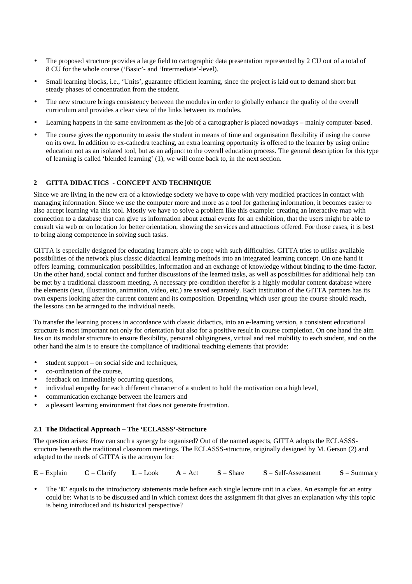- The proposed structure provides a large field to cartographic data presentation represented by 2 CU out of a total of 8 CU for the whole course ('Basic'- and 'Intermediate'-level).
- Small learning blocks, i.e., 'Units', guarantee efficient learning, since the project is laid out to demand short but steady phases of concentration from the student.
- The new structure brings consistency between the modules in order to globally enhance the quality of the overall curriculum and provides a clear view of the links between its modules.
- Learning happens in the same environment as the job of a cartographer is placed nowadays mainly computer-based.
- The course gives the opportunity to assist the student in means of time and organisation flexibility if using the course on its own. In addition to ex-cathedra teaching, an extra learning opportunity is offered to the learner by using online education not as an isolated tool, but as an adjunct to the overall education process. The general description for this type of learning is called 'blended learning' (1), we will come back to, in the next section.

# **2 GITTA DIDACTICS - CONCEPT AND TECHNIQUE**

Since we are living in the new era of a knowledge society we have to cope with very modified practices in contact with managing information. Since we use the computer more and more as a tool for gathering information, it becomes easier to also accept learning via this tool. Mostly we have to solve a problem like this example: creating an interactive map with connection to a database that can give us information about actual events for an exhibition, that the users might be able to consult via web or on location for better orientation, showing the services and attractions offered. For those cases, it is best to bring along competence in solving such tasks.

GITTA is especially designed for educating learners able to cope with such difficulties. GITTA tries to utilise available possibilities of the network plus classic didactical learning methods into an integrated learning concept. On one hand it offers learning, communication possibilities, information and an exchange of knowledge without binding to the time-factor. On the other hand, social contact and further discussions of the learned tasks, as well as possibilities for additional help can be met by a traditional classroom meeting. A necessary pre-condition therefor is a highly modular content database where the elements (text, illustration, animation, video, etc.) are saved separately. Each institution of the GITTA partners has its own experts looking after the current content and its composition. Depending which user group the course should reach, the lessons can be arranged to the individual needs.

To transfer the learning process in accordance with classic didactics, into an e-learning version, a consistent educational structure is most important not only for orientation but also for a positive result in course completion. On one hand the aim lies on its modular structure to ensure flexibility, personal obligingness, virtual and real mobility to each student, and on the other hand the aim is to ensure the compliance of traditional teaching elements that provide:

- student support on social side and techniques,
- co-ordination of the course,
- feedback on immediately occurring questions.
- individual empathy for each different character of a student to hold the motivation on a high level,
- communication exchange between the learners and
- a pleasant learning environment that does not generate frustration.

#### **2.1 The Didactical Approach – The 'ECLASSS'-Structure**

The question arises: How can such a synergy be organised? Out of the named aspects, GITTA adopts the ECLASSSstructure beneath the traditional classroom meetings. The ECLASSS-structure, originally designed by M. Gerson (2) and adapted to the needs of GITTA is the acronym for:

 $E =$  Explain **C** = Clarify  $L =$  Look **A** = Act **S** = Share **S** = Self-Assessment **S** = Summary

The '**E**' equals to the introductory statements made before each single lecture unit in a class. An example for an entry could be: What is to be discussed and in which context does the assignment fit that gives an explanation why this topic is being introduced and its historical perspective?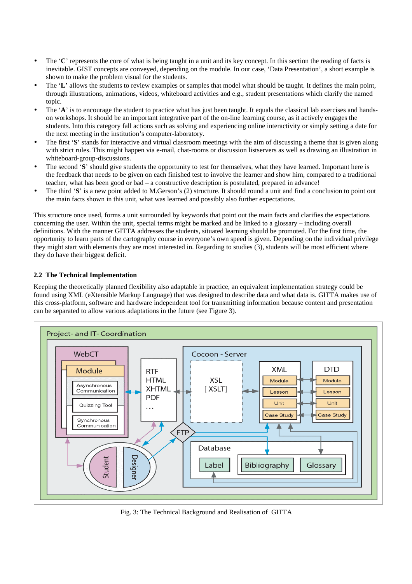- The '**C**' represents the core of what is being taught in a unit and its key concept. In this section the reading of facts is inevitable. GIST concepts are conveyed, depending on the module. In our case, 'Data Presentation', a short example is shown to make the problem visual for the students.
- The '**L**' allows the students to review examples or samples that model what should be taught. It defines the main point, through illustrations, animations, videos, whiteboard activities and e.g., student presentations which clarify the named topic.
- The 'A' is to encourage the student to practice what has just been taught. It equals the classical lab exercises and handson workshops. It should be an important integrative part of the on-line learning course, as it actively engages the students. Into this category fall actions such as solving and experiencing online interactivity or simply setting a date for the next meeting in the institution's computer-laboratory.
- The first '**S**' stands for interactive and virtual classroom meetings with the aim of discussing a theme that is given along with strict rules. This might happen via e-mail, chat-rooms or discussion listservers as well as drawing an illustration in whiteboard-group-discussions.
- The second '**S**' should give students the opportunity to test for themselves, what they have learned. Important here is the feedback that needs to be given on each finished test to involve the learner and show him, compared to a traditional teacher, what has been good or bad – a constructive description is postulated, prepared in advance!
- The third '**S**' is a new point added to M.Gerson's (2) structure. It should round a unit and find a conclusion to point out the main facts shown in this unit, what was learned and possibly also further expectations.

This structure once used, forms a unit surrounded by keywords that point out the main facts and clarifies the expectations concerning the user. Within the unit, special terms might be marked and be linked to a glossary – including overall definitions. With the manner GITTA addresses the students, situated learning should be promoted. For the first time, the opportunity to learn parts of the cartography course in everyone's own speed is given. Depending on the individual privilege they might start with elements they are most interested in. Regarding to studies (3), students will be most efficient where they do have their biggest deficit.

# **2.2 The Technical Implementation**

Keeping the theoretically planned flexibility also adaptable in practice, an equivalent implementation strategy could be found using XML (eXtensible Markup Language) that was designed to describe data and what data is. GITTA makes use of this cross-platform, software and hardware independent tool for transmitting information because content and presentation can be separated to allow various adaptations in the future (see Figure 3).



Fig. 3: The Technical Background and Realisation of GITTA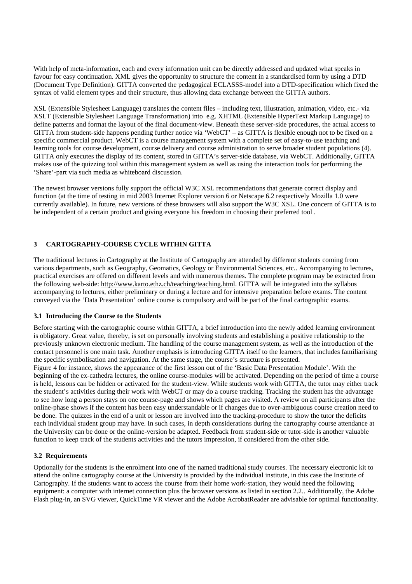With help of meta-information, each and every information unit can be directly addressed and updated what speaks in favour for easy continuation. XML gives the opportunity to structure the content in a standardised form by using a DTD (Document Type Definition). GITTA converted the pedagogical ECLASSS-model into a DTD-specification which fixed the syntax of valid element types and their structure, thus allowing data exchange between the GITTA authors.

XSL (Extensible Stylesheet Language) translates the content files – including text, illustration, animation, video, etc.- via XSLT (Extensible Stylesheet Language Transformation) into e.g. XHTML (Extensible HyperText Markup Language) to define patterns and format the layout of the final document-view. Beneath these server-side procedures, the actual access to GITTA from student-side happens pending further notice via 'WebCT' – as GITTA is flexible enough not to be fixed on a specific commercial product. WebCT is a course management system with a complete set of easy-to-use teaching and learning tools for course development, course delivery and course administration to serve broader student populations (4). GITTA only executes the display of its content, stored in GITTA's server-side database, via WebCT. Additionally, GITTA makes use of the quizzing tool within this management system as well as using the interaction tools for performing the 'Share'-part via such media as whiteboard discussion.

The newest browser versions fully support the official W3C XSL recommendations that generate correct display and function (at the time of testing in mid 2003 Internet Explorer version 6 or Netscape 6.2 respectively Mozilla 1.0 were currently available). In future, new versions of these browsers will also support the W3C XSL. One concern of GITTA is to be independent of a certain product and giving everyone his freedom in choosing their preferred tool .

# **3 CARTOGRAPHY-COURSE CYCLE WITHIN GITTA**

The traditional lectures in Cartography at the Institute of Cartography are attended by different students coming from various departments, such as Geography, Geomatics, Geology or Environmental Sciences, etc.. Accompanying to lectures, practical exercises are offered on different levels and with numerous themes. The complete program may be extracted from the following web-side: http://www.karto.ethz.ch/teaching/teaching.html. GITTA will be integrated into the syllabus accompanying to lectures, either preliminary or during a lecture and for intensive preparation before exams. The content conveyed via the 'Data Presentation' online course is compulsory and will be part of the final cartographic exams.

#### **3.1 Introducing the Course to the Students**

Before starting with the cartographic course within GITTA, a brief introduction into the newly added learning environment is obligatory. Great value, thereby, is set on personally involving students and establishing a positive relationship to the previously unknown electronic medium. The handling of the course management system, as well as the introduction of the contact personnel is one main task. Another emphasis is introducing GITTA itself to the learners, that includes familiarising the specific symbolisation and navigation. At the same stage, the course's structure is presented.

Figure 4 for instance, shows the appearance of the first lesson out of the 'Basic Data Presentation Module'. With the beginning of the ex-cathedra lectures, the online course-modules will be activated. Depending on the period of time a course is held, lessons can be hidden or activated for the student-view. While students work with GITTA, the tutor may either track the student's activities during their work with WebCT or may do a course tracking. Tracking the student has the advantage to see how long a person stays on one course-page and shows which pages are visited. A review on all participants after the online-phase shows if the content has been easy understandable or if changes due to over-ambiguous course creation need to be done. The quizzes in the end of a unit or lesson are involved into the tracking-procedure to show the tutor the deficits each individual student group may have. In such cases, in depth considerations during the cartography course attendance at the University can be done or the online-version be adapted. Feedback from student-side or tutor-side is another valuable function to keep track of the students activities and the tutors impression, if considered from the other side.

#### **3.2 Requirements**

Optionally for the students is the enrolment into one of the named traditional study courses. The necessary electronic kit to attend the online cartography course at the University is provided by the individual institute, in this case the Institute of Cartography. If the students want to access the course from their home work-station, they would need the following equipment: a computer with internet connection plus the browser versions as listed in section 2.2.. Additionally, the Adobe Flash plug-in, an SVG viewer, QuickTime VR viewer and the Adobe AcrobatReader are advisable for optimal functionality.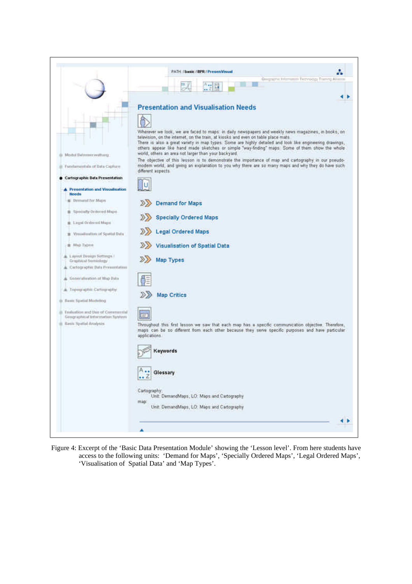

Figure 4: Excerpt of the 'Basic Data Presentation Module' showing the 'Lesson level'. From here students have access to the following units: 'Demand for Maps', 'Specially Ordered Maps', 'Legal Ordered Maps', 'Visualisation of Spatial Data' and 'Map Types'.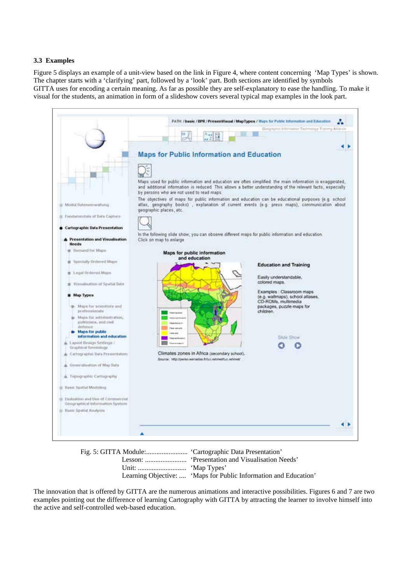## **3.3 Examples**

Figure 5 displays an example of a unit-view based on the link in Figure 4, where content concerning 'Map Types' is shown. The chapter starts with a 'clarifying' part, followed by a 'look' part. Both sections are identified by symbols GITTA uses for encoding a certain meaning. As far as possible they are self-explanatory to ease the handling. To make it visual for the students, an animation in form of a slideshow covers several typical map examples in the look part.



| Learning Objective:  'Maps for Public Information and Education' |
|------------------------------------------------------------------|

The innovation that is offered by GITTA are the numerous animations and interactive possibilities. Figures 6 and 7 are two examples pointing out the difference of learning Cartography with GITTA by attracting the learner to involve himself into the active and self-controlled web-based education.